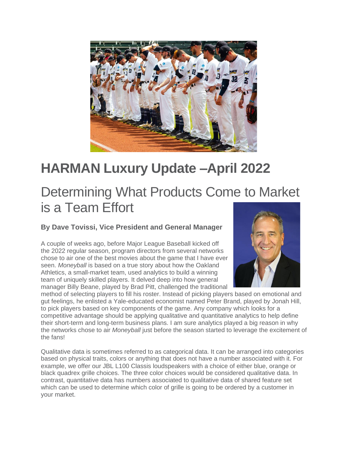

## **HARMAN Luxury Update –April 2022**

## Determining What Products Come to Market is a Team Effort

**By Dave Tovissi, Vice President and General Manager**

A couple of weeks ago, before Major League Baseball kicked off the 2022 regular season, program directors from several networks chose to air one of the best movies about the game that I have ever seen. *Moneyball* is based on a true story about how the Oakland Athletics, a small-market team, used analytics to build a winning team of uniquely skilled players. It delved deep into how general manager Billy Beane, played by Brad Pitt, challenged the traditional



method of selecting players to fill his roster. Instead of picking players based on emotional and gut feelings, he enlisted a Yale-educated economist named Peter Brand, played by Jonah Hill, to pick players based on key components of the game. Any company which looks for a competitive advantage should be applying qualitative and quantitative analytics to help define their short-term and long-term business plans. I am sure analytics played a big reason in why the networks chose to air *Moneyball* just before the season started to leverage the excitement of the fans!

Qualitative data is sometimes referred to as categorical data. It can be arranged into categories based on physical traits, colors or anything that does not have a number associated with it. For example, we offer our JBL L100 Classis loudspeakers with a choice of either blue, orange or black quadrex grille choices. The three color choices would be considered qualitative data. In contrast, quantitative data has numbers associated to qualitative data of shared feature set which can be used to determine which color of grille is going to be ordered by a customer in your market.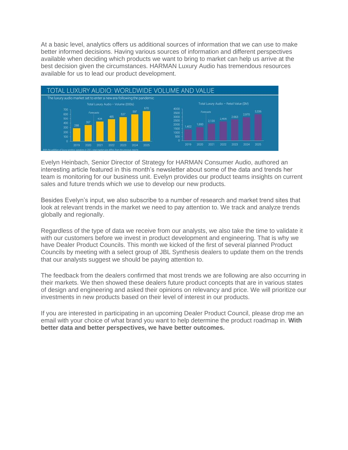At a basic level, analytics offers us additional sources of information that we can use to make better informed decisions. Having various sources of information and different perspectives available when deciding which products we want to bring to market can help us arrive at the best decision given the circumstances. HARMAN Luxury Audio has tremendous resources available for us to lead our product development.



Evelyn Heinbach, Senior Director of Strategy for HARMAN Consumer Audio, authored an interesting article featured in this month's newsletter about some of the data and trends her team is monitoring for our business unit. Evelyn provides our product teams insights on current sales and future trends which we use to develop our new products.

Besides Evelyn's input, we also subscribe to a number of research and market trend sites that look at relevant trends in the market we need to pay attention to. We track and analyze trends globally and regionally.

Regardless of the type of data we receive from our analysts, we also take the time to validate it with our customers before we invest in product development and engineering. That is why we have Dealer Product Councils. This month we kicked of the first of several planned Product Councils by meeting with a select group of JBL Synthesis dealers to update them on the trends that our analysts suggest we should be paying attention to.

The feedback from the dealers confirmed that most trends we are following are also occurring in their markets. We then showed these dealers future product concepts that are in various states of design and engineering and asked their opinions on relevancy and price. We will prioritize our investments in new products based on their level of interest in our products.

If you are interested in participating in an upcoming Dealer Product Council, please drop me an email with your choice of what brand you want to help determine the product roadmap in. **With better data and better perspectives, we have better outcomes.**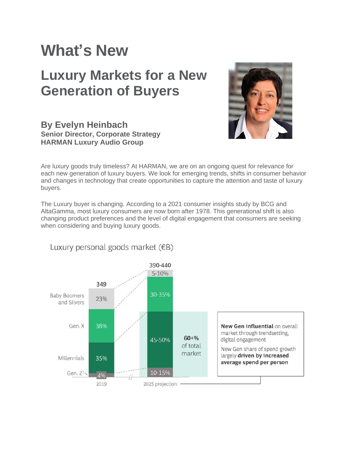## **What's New**

## **Luxury Markets for a New Generation of Buyers**



### **By Evelyn Heinbach Senior Director, Corporate Strategy HARMAN Luxury Audio Group**

Are luxury goods truly timeless? At HARMAN, we are on an ongoing quest for relevance for each new generation of luxury buyers. We look for emerging trends, shifts in consumer behavior and changes in technology that create opportunities to capture the attention and taste of luxury buyers.

The Luxury buyer is changing. According to a 2021 consumer insights study by BCG and AltaGamma, most luxury consumers are now born after 1978. This generational shift is also changing product preferences and the level of digital engagement that consumers are seeking when considering and buying luxury goods.



Luxury personal goods market  $(EB)$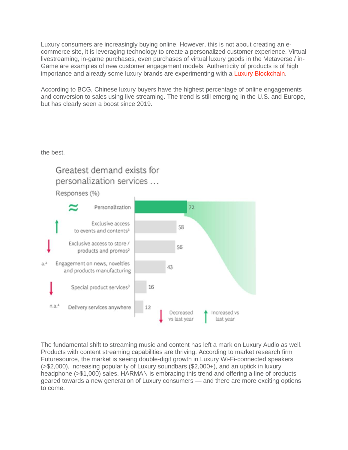Luxury consumers are increasingly buying online. However, this is not about creating an ecommerce site, it is leveraging technology to create a personalized customer experience. Virtual livestreaming, in-game purchases, even purchases of virtual luxury goods in the Metaverse / in-Game are examples of new customer engagement models. Authenticity of products is of high importance and already some luxury brands are experimenting with a [Luxury Blockchain.](https://www.lvmh.com/news-documents/news/lvmh-partners-with-other-major-luxury-companies-on-aura-the-first-global-luxury-blockchain/)

According to BCG, Chinese luxury buyers have the highest percentage of online engagements and conversion to sales using live streaming. The trend is still emerging in the U.S. and Europe, but has clearly seen a boost since 2019.

the best.



The fundamental shift to streaming music and content has left a mark on Luxury Audio as well. Products with content streaming capabilities are thriving. According to market research firm Futuresource, the market is seeing double-digit growth in Luxury Wi-Fi-connected speakers (>\$2,000), increasing popularity of Luxury soundbars (\$2,000+), and an uptick in luxury headphone (>\$1,000) sales. HARMAN is embracing this trend and offering a line of products geared towards a new generation of Luxury consumers — and there are more exciting options to come.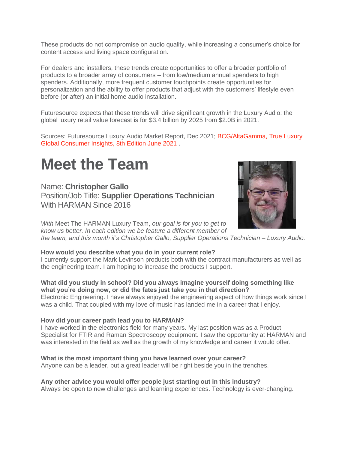These products do not compromise on audio quality, while increasing a consumer's choice for content access and living space configuration.

For dealers and installers, these trends create opportunities to offer a broader portfolio of products to a broader array of consumers – from low/medium annual spenders to high spenders. Additionally, more frequent customer touchpoints create opportunities for personalization and the ability to offer products that adjust with the customers' lifestyle even before (or after) an initial home audio installation.

Futuresource expects that these trends will drive significant growth in the Luxury Audio: the global luxury retail value forecast is for \$3.4 billion by 2025 from \$2.0B in 2021.

Sources: Futuresource Luxury Audio Market Report, Dec 2021; [BCG/AltaGamma, True Luxury](https://web-assets.bcg.com/f2/f1/002816bc4aca91276243c72ee57d/bcgxaltagamma-true-luxury-global-consumer-insight-2021.pdf)  [Global Consumer Insights, 8th Edition June 2021](https://web-assets.bcg.com/f2/f1/002816bc4aca91276243c72ee57d/bcgxaltagamma-true-luxury-global-consumer-insight-2021.pdf) .

## **Meet the Team**

Name: **Christopher Gallo** Position/Job Title: **Supplier Operations Technician** With HARMAN Since 2016



*With* Meet The HARMAN Luxury Team, *our goal is for you to get to know us better. In each edition we be feature a different member of* 

*the team, and this month it's Christopher Gallo, Supplier Operations Technician – Luxury Audio.*

#### **How would you describe what you do in your current role?**

I currently support the Mark Levinson products both with the contract manufacturers as well as the engineering team. I am hoping to increase the products I support.

#### **What did you study in school? Did you always imagine yourself doing something like what you're doing now, or did the fates just take you in that direction?**

Electronic Engineering. I have always enjoyed the engineering aspect of how things work since I was a child. That coupled with my love of music has landed me in a career that I enjoy.

#### **How did your career path lead you to HARMAN?**

I have worked in the electronics field for many years. My last position was as a Product Specialist for FTIR and Raman Spectroscopy equipment. I saw the opportunity at HARMAN and was interested in the field as well as the growth of my knowledge and career it would offer.

#### **What is the most important thing you have learned over your career?**

Anyone can be a leader, but a great leader will be right beside you in the trenches.

#### **Any other advice you would offer people just starting out in this industry?**

Always be open to new challenges and learning experiences. Technology is ever-changing.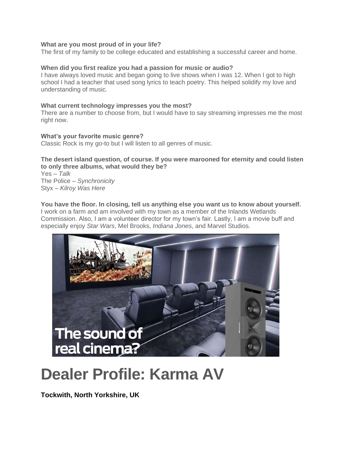#### **What are you most proud of in your life?**

The first of my family to be college educated and establishing a successful career and home.

#### **When did you first realize you had a passion for music or audio?**

I have always loved music and began going to live shows when I was 12. When I got to high school I had a teacher that used song lyrics to teach poetry. This helped solidify my love and understanding of music.

#### **What current technology impresses you the most?**

There are a number to choose from, but I would have to say streaming impresses me the most right now.

### **What's your favorite music genre?**

Classic Rock is my go-to but I will listen to all genres of music.

#### **The desert island question, of course. If you were marooned for eternity and could listen to only three albums, what would they be?**

Yes – *Talk* The Police – *Synchronicity* Styx – *Kilroy Was Here*

**You have the floor. In closing, tell us anything else you want us to know about yourself.** I work on a farm and am involved with my town as a member of the Inlands Wetlands Commission. Also, I am a volunteer director for my town's fair. Lastly, I am a movie buff and especially enjoy *Star Wars*, Mel Brooks, *Indiana Jones*, and Marvel Studios.



# **Dealer Profile: Karma AV**

**Tockwith, North Yorkshire, UK**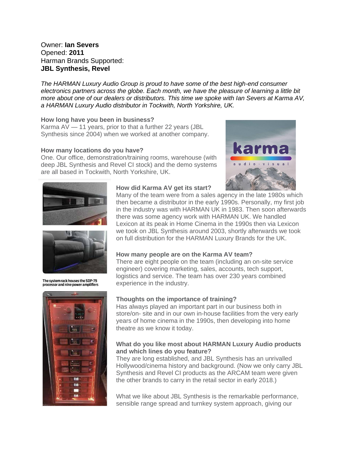#### Owner: **Ian Severs** Opened: **2011** Harman Brands Supported: **JBL Synthesis, Revel**

*The HARMAN Luxury Audio Group is proud to have some of the best high-end consumer electronics partners across the globe. Each month, we have the pleasure of learning a little bit more about one of our dealers or distributors. This time we spoke with Ian Severs at Karma AV, a HARMAN Luxury Audio distributor in Tockwith, North Yorkshire, UK.*

#### **How long have you been in business?**

Karma AV — 11 years, prior to that a further 22 years (JBL Synthesis since 2004) when we worked at another company.

#### **How many locations do you have?**

One. Our office, demonstration/training rooms, warehouse (with deep JBL Synthesis and Revel CI stock) and the demo systems are all based in Tockwith, North Yorkshire, UK.







The system rack houses the SDP-75 processor and nine power amplifiers



#### **How did Karma AV get its start?**

Many of the team were from a sales agency in the late 1980s which then became a distributor in the early 1990s. Personally, my first job in the industry was with HARMAN UK in 1983. Then soon afterwards there was some agency work with HARMAN UK. We handled Lexicon at its peak in Home Cinema in the 1990s then via Lexicon we took on JBL Synthesis around 2003, shortly afterwards we took on full distribution for the HARMAN Luxury Brands for the UK.

#### **How many people are on the Karma AV team?**

There are eight people on the team (including an on-site service engineer) covering marketing, sales, accounts, tech support, logistics and service. The team has over 230 years combined experience in the industry.

#### **Thoughts on the importance of training?**

Has always played an important part in our business both in store/on- site and in our own in-house facilities from the very early years of home cinema in the 1990s, then developing into home theatre as we know it today.

#### **What do you like most about HARMAN Luxury Audio products and which lines do you feature?**

They are long established, and JBL Synthesis has an unrivalled Hollywood/cinema history and background. (Now we only carry JBL Synthesis and Revel CI products as the ARCAM team were given the other brands to carry in the retail sector in early 2018.)

What we like about JBL Synthesis is the remarkable performance, sensible range spread and turnkey system approach, giving our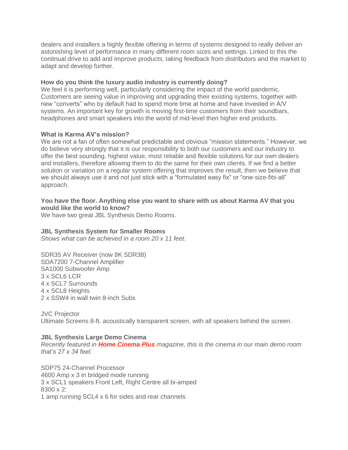dealers and installers a highly flexible offering in terms of systems designed to really deliver an astonishing level of performance in many different room sizes and settings. Linked to this the continual drive to add and improve products, taking feedback from distributors and the market to adapt and develop further.

#### **How do you think the luxury audio industry is currently doing?**

We feel it is performing well, particularly considering the impact of the world pandemic. Customers are seeing value in improving and upgrading their existing systems, together with new "converts" who by default had to spend more time at home and have invested in A/V systems. An important key for growth is moving first-time customers from their soundbars, headphones and smart speakers into the world of mid-level then higher end products.

#### **What is Karma AV's mission?**

We are not a fan of often somewhat predictable and obvious "mission statements." However, we do believe very strongly that it is our responsibility to both our customers and our industry to offer the best sounding, highest value, most reliable and flexible solutions for our own dealers and installers, therefore allowing them to do the same for their own clients. If we find a better solution or variation on a regular system offering that improves the result, then we believe that we should always use it and not just stick with a "formulated easy fix" or "one-size-fits-all" approach.

#### **You have the floor. Anything else you want to share with us about Karma AV that you would like the world to know?**

We have two great JBL Synthesis Demo Rooms.

#### **JBL Synthesis System for Smaller Rooms**

*Shows what can be achieved in a room 20 x 11 feet.*

SDR35 AV Receiver (now 8K SDR38) SDA7200 7-Channel Amplifier SA1000 Subwoofer Amp  $3 \times$  SCL6 LCR 4 x SCL7 Surrounds 4 x SCL8 Heights 2 x SSW4 in wall twin 8-inch Subs

JVC Projector Ultimate Screens 8-ft. acoustically transparent screen, with all speakers behind the screen.

#### **JBL Synthesis Large Demo Cinema**

*Recently featured in [Home Cinema Plus](https://www.harmanluxuryaudionews.com/wp-content/uploads/2022/04/HCC_330_JBL_Synthesis_Reprint_v2.pdf) magazine, this is the cinema in our main demo room that's 27 x 34 feet.*

SDP75 24-Channel Processor 4600 Amp x 3 in bridged mode running 3 x SCL1 speakers Front Left, Right Centre all bi-amped 8300 x 2: 1 amp running SCL4 x 6 for sides and rear channels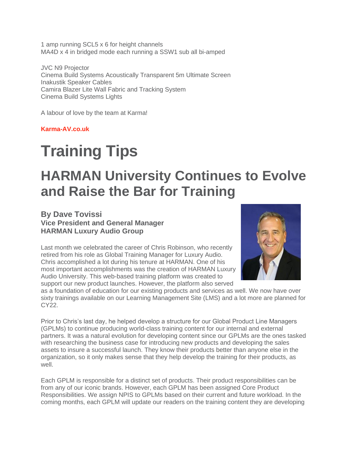1 amp running SCL5 x 6 for height channels MA4D x 4 in bridged mode each running a SSW1 sub all bi-amped

JVC N9 Projector Cinema Build Systems Acoustically Transparent 5m Ultimate Screen Inakustik Speaker Cables Camira Blazer Lite Wall Fabric and Tracking System Cinema Build Systems Lights

A labour of love by the team at Karma!

**[Karma-AV.co.uk](https://karma-av.co.uk/)**

# **Training Tips**

### **HARMAN University Continues to Evolve and Raise the Bar for Training**

### **By Dave Tovissi Vice President and General Manager HARMAN Luxury Audio Group**

Last month we celebrated the career of Chris Robinson, who recently retired from his role as Global Training Manager for Luxury Audio. Chris accomplished a lot during his tenure at HARMAN. One of his most important accomplishments was the creation of HARMAN Luxury Audio University. This web-based training platform was created to support our new product launches. However, the platform also served



as a foundation of education for our existing products and services as well. We now have over sixty trainings available on our Learning Management Site (LMS) and a lot more are planned for CY<sub>22</sub>

Prior to Chris's last day, he helped develop a structure for our Global Product Line Managers (GPLMs) to continue producing world-class training content for our internal and external partners. It was a natural evolution for developing content since our GPLMs are the ones tasked with researching the business case for introducing new products and developing the sales assets to insure a successful launch. They know their products better than anyone else in the organization, so it only makes sense that they help develop the training for their products, as well.

Each GPLM is responsible for a distinct set of products. Their product responsibilities can be from any of our iconic brands. However, each GPLM has been assigned Core Product Responsibilities. We assign NPIS to GPLMs based on their current and future workload. In the coming months, each GPLM will update our readers on the training content they are developing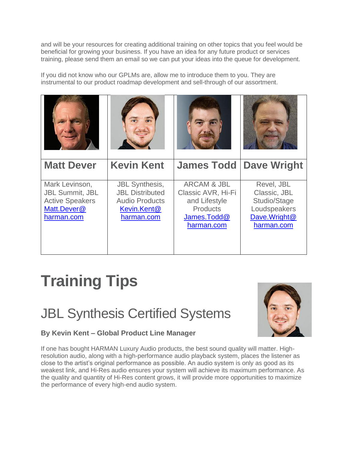and will be your resources for creating additional training on other topics that you feel would be beneficial for growing your business. If you have an idea for any future product or services training, please send them an email so we can put your ideas into the queue for development.

If you did not know who our GPLMs are, allow me to introduce them to you. They are instrumental to our product roadmap development and sell-through of our assortment.



# **Training Tips**

## JBL Synthesis Certified Systems



### **By Kevin Kent – Global Product Line Manager**

If one has bought HARMAN Luxury Audio products, the best sound quality will matter. Highresolution audio, along with a high-performance audio playback system, places the listener as close to the artist's original performance as possible. An audio system is only as good as its weakest link, and Hi-Res audio ensures your system will achieve its maximum performance. As the quality and quantity of Hi-Res content grows, it will provide more opportunities to maximize the performance of every high-end audio system.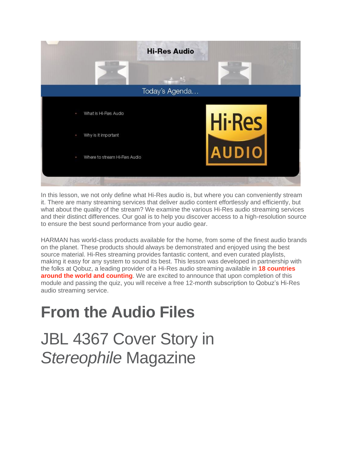

In this lesson, we not only define what Hi-Res audio is, but where you can conveniently stream it. There are many streaming services that deliver audio content effortlessly and efficiently, but what about the quality of the stream? We examine the various Hi-Res audio streaming services and their distinct differences. Our goal is to help you discover access to a high-resolution source to ensure the best sound performance from your audio gear.

HARMAN has world-class products available for the home, from some of the finest audio brands on the planet. These products should always be demonstrated and enjoyed using the best source material. Hi-Res streaming provides fantastic content, and even curated playlists, making it easy for any system to sound its best. This lesson was developed in partnership with the folks at Qobuz, a leading provider of a Hi-Res audio streaming available in **[18 countries](https://help.qobuz.com/hc/en-us/articles/360010260660-Where-is-Qobuz-available-)  [around the world and counting](https://help.qobuz.com/hc/en-us/articles/360010260660-Where-is-Qobuz-available-)**. We are excited to announce that upon completion of this module and passing the quiz, you will receive a free 12-month subscription to Qobuz's Hi-Res audio streaming service.

# **From the Audio Files**

JBL 4367 Cover Story in *Stereophile* Magazine